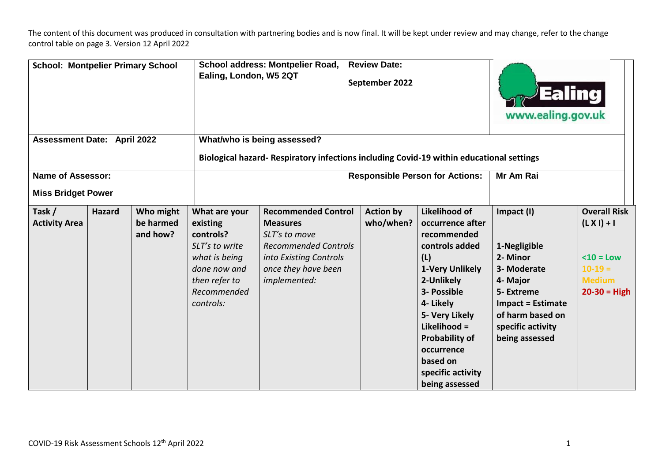| <b>School: Montpelier Primary School</b><br><b>Assessment Date: April 2022</b> |               | School address: Montpelier Road,<br>Ealing, London, W5 2QT<br>What/who is being assessed? |                                                                                                                                        | <b>Review Date:</b><br>September 2022                                                                                                                          |                                                                                                                                                | Ealmg<br>www.ealing.gov.uk                                                                                                                                                                                                                                         |                                                                                                                                                                        |                                                                                                       |
|--------------------------------------------------------------------------------|---------------|-------------------------------------------------------------------------------------------|----------------------------------------------------------------------------------------------------------------------------------------|----------------------------------------------------------------------------------------------------------------------------------------------------------------|------------------------------------------------------------------------------------------------------------------------------------------------|--------------------------------------------------------------------------------------------------------------------------------------------------------------------------------------------------------------------------------------------------------------------|------------------------------------------------------------------------------------------------------------------------------------------------------------------------|-------------------------------------------------------------------------------------------------------|
| <b>Name of Assessor:</b><br><b>Miss Bridget Power</b>                          |               |                                                                                           |                                                                                                                                        |                                                                                                                                                                | Biological hazard-Respiratory infections including Covid-19 within educational settings<br><b>Responsible Person for Actions:</b><br>Mr Am Rai |                                                                                                                                                                                                                                                                    |                                                                                                                                                                        |                                                                                                       |
| Task /<br><b>Activity Area</b>                                                 | <b>Hazard</b> | Who might<br>be harmed<br>and how?                                                        | What are your<br>existing<br>controls?<br>SLT's to write<br>what is being<br>done now and<br>then refer to<br>Recommended<br>controls: | <b>Recommended Control</b><br><b>Measures</b><br>SLT's to move<br><b>Recommended Controls</b><br>into Existing Controls<br>once they have been<br>implemented: | <b>Action by</b><br>who/when?                                                                                                                  | Likelihood of<br>occurrence after<br>recommended<br>controls added<br>(L)<br>1-Very Unlikely<br>2-Unlikely<br>3- Possible<br>4- Likely<br>5- Very Likely<br>Likelihood =<br><b>Probability of</b><br>occurrence<br>based on<br>specific activity<br>being assessed | Impact (I)<br>1-Negligible<br>2- Minor<br>3- Moderate<br>4- Major<br>5- Extreme<br><b>Impact = Estimate</b><br>of harm based on<br>specific activity<br>being assessed | <b>Overall Risk</b><br>$(L X I) + I$<br>$<$ 10 = Low<br>$10-19=$<br><b>Medium</b><br>$20 - 30 = High$ |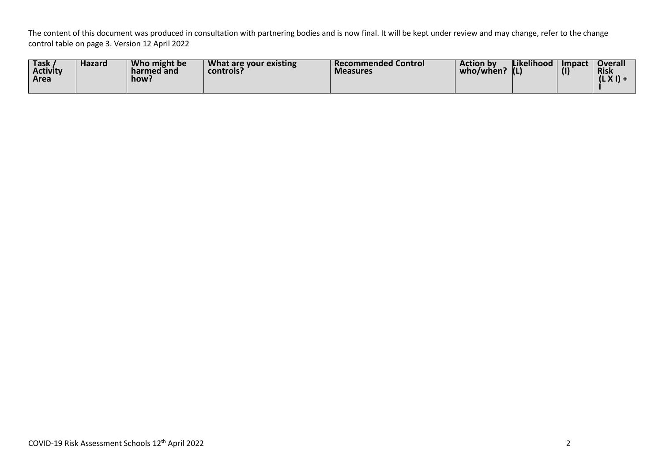| <b>Task</b><br><b>Activity</b><br>  Area | <b>Hazard</b> | Who might be<br>harmed and<br>how: | What are your existing<br>controls? | <b>Recommended Control</b><br><b>Measures</b> | <b>Action by</b><br>who/when: | <b>Likelihood</b> | Impact | <b>Overall</b><br><b>Risk</b><br>1L A 11 7 |
|------------------------------------------|---------------|------------------------------------|-------------------------------------|-----------------------------------------------|-------------------------------|-------------------|--------|--------------------------------------------|
|------------------------------------------|---------------|------------------------------------|-------------------------------------|-----------------------------------------------|-------------------------------|-------------------|--------|--------------------------------------------|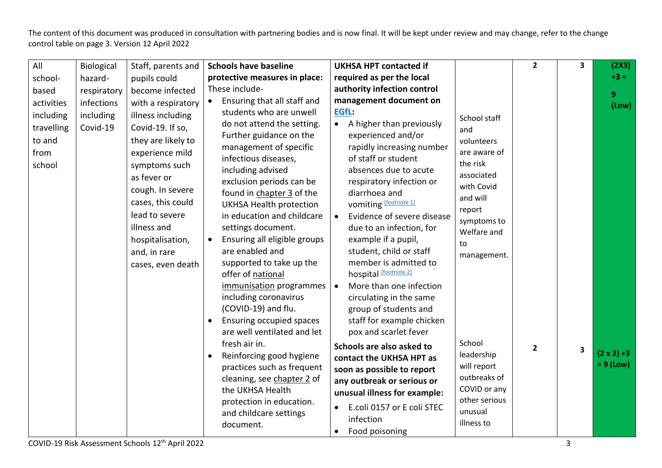| protective measures in place:<br>required as per the local<br>hazard-<br>school-<br>pupils could<br>These include-<br>authority infection control<br>become infected<br>respiratory<br>based |                         | $+3 = 1$           |
|----------------------------------------------------------------------------------------------------------------------------------------------------------------------------------------------|-------------------------|--------------------|
|                                                                                                                                                                                              |                         |                    |
|                                                                                                                                                                                              |                         | 9 <sup>°</sup>     |
| Ensuring that all staff and<br>management document on<br>$\bullet$<br>activities<br>infections<br>with a respiratory                                                                         |                         | (Low)              |
| EGfL:<br>students who are unwell<br>including<br>including<br>illness including<br>School staff                                                                                              |                         |                    |
| • A higher than previously<br>do not attend the setting.<br>Covid-19<br>Covid-19. If so,<br>travelling<br>and                                                                                |                         |                    |
| Further guidance on the<br>experienced and/or<br>they are likely to<br>to and<br>volunteers                                                                                                  |                         |                    |
| rapidly increasing number<br>management of specific<br>experience mild<br>are aware of<br>from                                                                                               |                         |                    |
| infectious diseases,<br>of staff or student<br>the risk<br>school<br>symptoms such                                                                                                           |                         |                    |
| including advised<br>absences due to acute<br>associated<br>as fever or                                                                                                                      |                         |                    |
| exclusion periods can be<br>respiratory infection or<br>with Covid<br>cough. In severe                                                                                                       |                         |                    |
| found in chapter 3 of the<br>diarrhoea and<br>and will<br>cases, this could                                                                                                                  |                         |                    |
| vomiting [footnote 1]<br><b>UKHSA Health protection</b><br>report<br>lead to severe                                                                                                          |                         |                    |
| in education and childcare<br>Evidence of severe disease<br>$\bullet$<br>symptoms to<br>illness and                                                                                          |                         |                    |
| settings document.<br>due to an infection, for<br>Welfare and                                                                                                                                |                         |                    |
| Ensuring all eligible groups<br>example if a pupil,<br>hospitalisation,<br>$\bullet$<br>to<br>are enabled and<br>student, child or staff                                                     |                         |                    |
| and, in rare<br>management.<br>supported to take up the<br>member is admitted to                                                                                                             |                         |                    |
| cases, even death<br>hospital [footnote 2]<br>offer of national                                                                                                                              |                         |                    |
| More than one infection<br>immunisation programmes<br>$\bullet$                                                                                                                              |                         |                    |
| including coronavirus<br>circulating in the same                                                                                                                                             |                         |                    |
| (COVID-19) and flu.<br>group of students and                                                                                                                                                 |                         |                    |
| Ensuring occupied spaces<br>staff for example chicken                                                                                                                                        |                         |                    |
| are well ventilated and let<br>pox and scarlet fever                                                                                                                                         |                         |                    |
| fresh air in.<br>School<br>Schools are also asked to                                                                                                                                         |                         |                    |
| $\overline{2}$<br>leadership<br>Reinforcing good hygiene<br>contact the UKHSA HPT as                                                                                                         | $\overline{\mathbf{3}}$ | $(2 \times 3) + 3$ |
| will report<br>practices such as frequent<br>soon as possible to report                                                                                                                      |                         | $= 9$ (Low)        |
| outbreaks of<br>cleaning, see chapter 2 of<br>any outbreak or serious or                                                                                                                     |                         |                    |
| COVID or any<br>the UKHSA Health<br>unusual illness for example:                                                                                                                             |                         |                    |
| other serious<br>protection in education.<br>E.coli 0157 or E coli STEC                                                                                                                      |                         |                    |
| unusual<br>and childcare settings<br>infection                                                                                                                                               |                         |                    |
| illness to<br>document.<br>Food poisoning<br>$\bullet$                                                                                                                                       |                         |                    |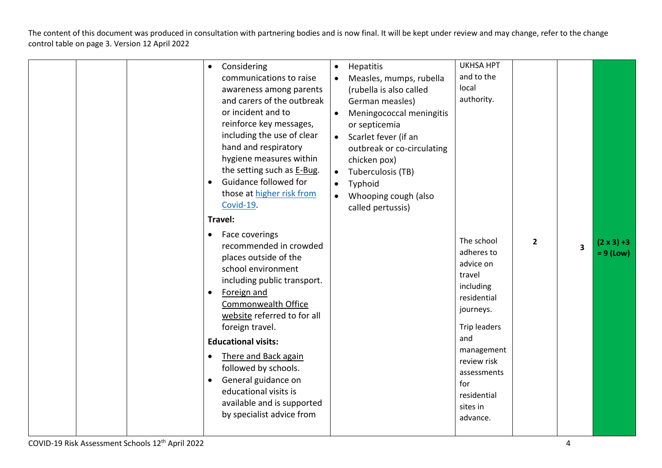|  | Considering<br>$\bullet$<br>communications to raise<br>awareness among parents<br>and carers of the outbreak<br>or incident and to<br>reinforce key messages,<br>including the use of clear<br>hand and respiratory<br>hygiene measures within<br>the setting such as E-Bug.<br>Guidance followed for<br>$\bullet$<br>those at higher risk from<br>Covid-19.<br>Travel:<br>Face coverings<br>$\bullet$<br>recommended in crowded | Hepatitis<br>$\bullet$<br>Measles, mumps, rubella<br>(rubella is also called<br>German measles)<br>Meningococcal meningitis<br>or septicemia<br>Scarlet fever (if an<br>$\bullet$<br>outbreak or co-circulating<br>chicken pox)<br>Tuberculosis (TB)<br>$\bullet$<br>Typhoid<br>Whooping cough (also<br>$\bullet$<br>called pertussis) | <b>UKHSA HPT</b><br>and to the<br>local<br>authority.<br>The school<br>adheres to                                                                                             | $\mathbf{2}$ | 3 | $(2 \times 3) + 3$ |
|--|----------------------------------------------------------------------------------------------------------------------------------------------------------------------------------------------------------------------------------------------------------------------------------------------------------------------------------------------------------------------------------------------------------------------------------|----------------------------------------------------------------------------------------------------------------------------------------------------------------------------------------------------------------------------------------------------------------------------------------------------------------------------------------|-------------------------------------------------------------------------------------------------------------------------------------------------------------------------------|--------------|---|--------------------|
|  | places outside of the<br>school environment<br>including public transport.<br>Foreign and<br>$\bullet$<br>Commonwealth Office<br>website referred to for all<br>foreign travel.<br><b>Educational visits:</b><br>There and Back again<br>$\bullet$<br>followed by schools.<br>General guidance on<br>$\bullet$<br>educational visits is<br>available and is supported<br>by specialist advice from                               |                                                                                                                                                                                                                                                                                                                                        | advice on<br>travel<br>including<br>residential<br>journeys.<br>Trip leaders<br>and<br>management<br>review risk<br>assessments<br>for<br>residential<br>sites in<br>advance. |              |   | $= 9$ (Low)        |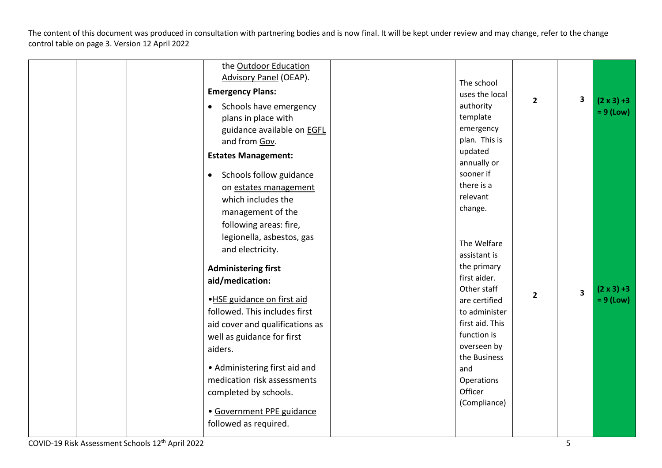| the Outdoor Education<br><b>Advisory Panel (OEAP).</b><br><b>Emergency Plans:</b><br>Schools have emergency<br>$\bullet$<br>plans in place with<br>guidance available on <b>EGFL</b><br>and from Gov.<br><b>Estates Management:</b><br>Schools follow guidance<br>$\bullet$<br>on estates management<br>which includes the<br>management of the<br>following areas: fire,<br>legionella, asbestos, gas<br>and electricity.<br><b>Administering first</b><br>aid/medication:<br>.HSE guidance on first aid<br>followed. This includes first<br>aid cover and qualifications as<br>well as guidance for first<br>aiders.<br>• Administering first aid and<br>medication risk assessments<br>completed by schools.<br>· Government PPE guidance | The school<br>uses the local<br>authority<br>template<br>emergency<br>plan. This is<br>updated<br>annually or<br>sooner if<br>there is a<br>relevant<br>change.<br>The Welfare<br>assistant is<br>the primary<br>first aider.<br>Other staff<br>are certified<br>to administer<br>first aid. This<br>function is<br>overseen by<br>the Business<br>and<br>Operations<br>Officer<br>(Compliance) | $\overline{2}$<br>$\overline{2}$ | 3<br>$\overline{\mathbf{3}}$ | $(2 \times 3) + 3$<br>$= 9$ (Low)<br>$(2 \times 3) + 3$<br>$= 9$ (Low) |
|----------------------------------------------------------------------------------------------------------------------------------------------------------------------------------------------------------------------------------------------------------------------------------------------------------------------------------------------------------------------------------------------------------------------------------------------------------------------------------------------------------------------------------------------------------------------------------------------------------------------------------------------------------------------------------------------------------------------------------------------|-------------------------------------------------------------------------------------------------------------------------------------------------------------------------------------------------------------------------------------------------------------------------------------------------------------------------------------------------------------------------------------------------|----------------------------------|------------------------------|------------------------------------------------------------------------|
| followed as required.                                                                                                                                                                                                                                                                                                                                                                                                                                                                                                                                                                                                                                                                                                                        |                                                                                                                                                                                                                                                                                                                                                                                                 |                                  |                              |                                                                        |